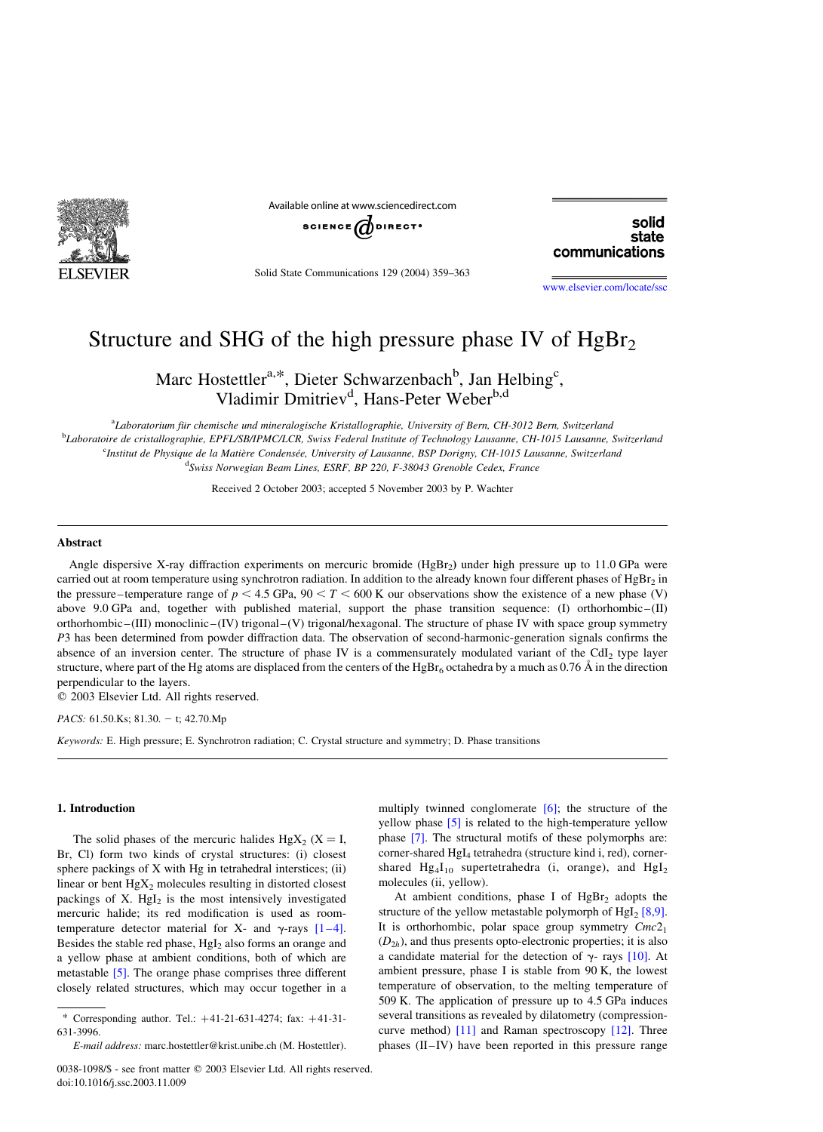

Available online at www.sciencedirect.com

$$
\texttt{science}(\bigotimes \texttt{d}\texttt{d}\texttt{b}\texttt{f}\texttt{f}\texttt{f}^{\bullet}
$$

solid state communications

Solid State Communications 129 (2004) 359–363

[www.elsevier.com/locate/ssc](http://www.elsevier.com/locate/ssc)

# Structure and SHG of the high pressure phase IV of  $HgBr<sub>2</sub>$

Marc Hostettler<sup>a,\*</sup>, Dieter Schwarzenbach<sup>b</sup>, Jan Helbing<sup>c</sup>, Vladimir Dmitriev<sup>d</sup>, Hans-Peter Weber<sup>b,d</sup>

a<br>ALaboratorium für chemische und mineralogische Kristallographie, University of Bern, CH-3012 Bern, Switzerland b Laboratoire de cristallographie, EPFL/SB/IPMC/LCR, Swiss Federal Institute of Technology Lausanne, CH-1015 Lausanne, Switzerland <sup>c</sup>Institut de Physique de la Matière Condensée, University of Lausanne, BSP Dorigny, CH-1015 Lausanne, Switzerland <sup>d</sup>Swiss Norwegian Beam Lines, ESRF, BP 220, F-38043 Grenoble Cedex, France

Received 2 October 2003; accepted 5 November 2003 by P. Wachter

### Abstract

Angle dispersive X-ray diffraction experiments on mercuric bromide (HgBr<sub>2</sub>) under high pressure up to 11.0 GPa were carried out at room temperature using synchrotron radiation. In addition to the already known four different phases of HgBr<sub>2</sub> in the pressure–temperature range of  $p < 4.5$  GPa,  $90 < T < 600$  K our observations show the existence of a new phase (V) above 9.0 GPa and, together with published material, support the phase transition sequence: (I) orthorhombic–(II) orthorhombic–(III) monoclinic–(IV) trigonal–(V) trigonal/hexagonal. The structure of phase IV with space group symmetry P3 has been determined from powder diffraction data. The observation of second-harmonic-generation signals confirms the absence of an inversion center. The structure of phase IV is a commensurately modulated variant of the CdI<sub>2</sub> type layer structure, where part of the Hg atoms are displaced from the centers of the  $HgBr_6$  octahedra by a much as 0.76 Å in the direction perpendicular to the layers.

 $© 2003 Elsevier Ltd. All rights reserved.$ 

PACS:  $61.50$ .Ks;  $81.30. - t$ ; 42.70.Mp

Keywords: E. High pressure; E. Synchrotron radiation; C. Crystal structure and symmetry; D. Phase transitions

## 1. Introduction

The solid phases of the mercuric halides  $HgX_2$  (X = I, Br, Cl) form two kinds of crystal structures: (i) closest sphere packings of X with Hg in tetrahedral interstices; (ii) linear or bent  $HgX_2$  molecules resulting in distorted closest packings of X.  $Hgl<sub>2</sub>$  is the most intensively investigated mercuric halide; its red modification is used as roomtemperature detector material for X- and  $\gamma$ -rays [\[1–4\]](#page-3-0). Besides the stable red phase,  $HgI<sub>2</sub>$  also forms an orange and a yellow phase at ambient conditions, both of which are metastable [\[5\]](#page-3-0). The orange phase comprises three different closely related structures, which may occur together in a

multiply twinned conglomerate  $[6]$ ; the structure of the yellow phase [\[5\]](#page-3-0) is related to the high-temperature yellow phase [\[7\]](#page-3-0). The structural motifs of these polymorphs are: corner-shared HgI<sub>4</sub> tetrahedra (structure kind i, red), cornershared  $Hg_4I_{10}$  supertetrahedra (i, orange), and  $HgI_2$ molecules (ii, yellow).

At ambient conditions, phase I of  $HgBr<sub>2</sub>$  adopts the structure of the yellow metastable polymorph of  $Hgl<sub>2</sub> [8,9]$ . It is orthorhombic, polar space group symmetry  $Cmc2<sub>1</sub>$  $(D_{2h})$ , and thus presents opto-electronic properties; it is also a candidate material for the detection of  $\gamma$ - rays [\[10\]](#page-3-0). At ambient pressure, phase I is stable from 90 K, the lowest temperature of observation, to the melting temperature of 509 K. The application of pressure up to 4.5 GPa induces several transitions as revealed by dilatometry (compressioncurve method) [\[11\]](#page-3-0) and Raman spectroscopy [\[12\].](#page-3-0) Three phases (II–IV) have been reported in this pressure range

<sup>\*</sup> Corresponding author. Tel.:  $+41-21-631-4274$ ; fax:  $+41-31-$ 631-3996.

E-mail address: marc.hostettler@krist.unibe.ch (M. Hostettler).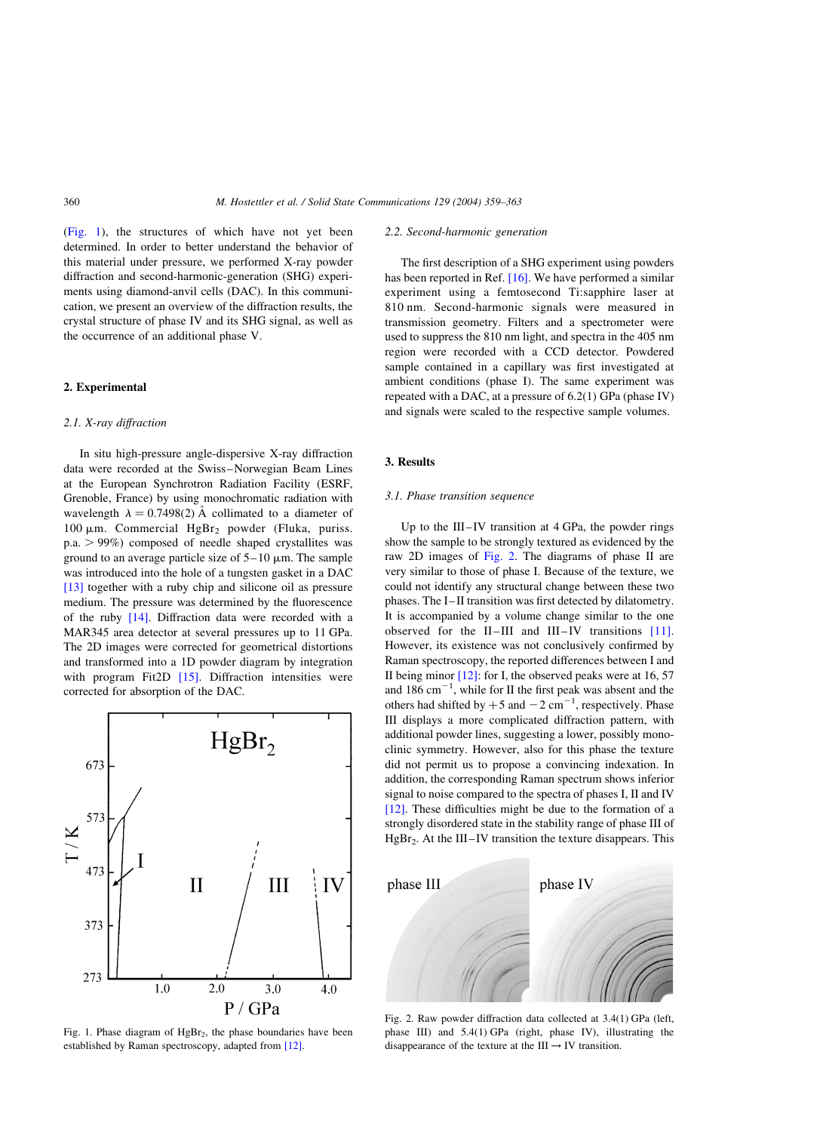(Fig. 1), the structures of which have not yet been determined. In order to better understand the behavior of this material under pressure, we performed X-ray powder diffraction and second-harmonic-generation (SHG) experiments using diamond-anvil cells (DAC). In this communication, we present an overview of the diffraction results, the crystal structure of phase IV and its SHG signal, as well as the occurrence of an additional phase V.

## 2. Experimental

## 2.1. X-ray diffraction

In situ high-pressure angle-dispersive X-ray diffraction data were recorded at the Swiss–Norwegian Beam Lines at the European Synchrotron Radiation Facility (ESRF, Grenoble, France) by using monochromatic radiation with wavelength  $\lambda = 0.7498(2)$  Å collimated to a diameter of 100  $\mu$ m. Commercial HgBr<sub>2</sub> powder (Fluka, puriss.  $p.a. > 99\%$  composed of needle shaped crystallites was ground to an average particle size of  $5-10 \mu m$ . The sample was introduced into the hole of a tungsten gasket in a DAC [\[13\]](#page-3-0) together with a ruby chip and silicone oil as pressure medium. The pressure was determined by the fluorescence of the ruby [\[14\]](#page-3-0). Diffraction data were recorded with a MAR345 area detector at several pressures up to 11 GPa. The 2D images were corrected for geometrical distortions and transformed into a 1D powder diagram by integration with program Fit<sub>2D</sub>  $[15]$ . Diffraction intensities were corrected for absorption of the DAC.



Fig. 1. Phase diagram of  $HgBr<sub>2</sub>$ , the phase boundaries have been established by Raman spectroscopy, adapted from [\[12\].](#page-3-0)

#### 2.2. Second-harmonic generation

The first description of a SHG experiment using powders has been reported in Ref. [\[16\].](#page-4-0) We have performed a similar experiment using a femtosecond Ti:sapphire laser at 810 nm. Second-harmonic signals were measured in transmission geometry. Filters and a spectrometer were used to suppress the 810 nm light, and spectra in the 405 nm region were recorded with a CCD detector. Powdered sample contained in a capillary was first investigated at ambient conditions (phase I). The same experiment was repeated with a DAC, at a pressure of 6.2(1) GPa (phase IV) and signals were scaled to the respective sample volumes.

## 3. Results

#### 3.1. Phase transition sequence

Up to the III–IV transition at 4 GPa, the powder rings show the sample to be strongly textured as evidenced by the raw 2D images of Fig. 2. The diagrams of phase II are very similar to those of phase I. Because of the texture, we could not identify any structural change between these two phases. The I–II transition was first detected by dilatometry. It is accompanied by a volume change similar to the one observed for the II–III and III–IV transitions [\[11\]](#page-3-0). However, its existence was not conclusively confirmed by Raman spectroscopy, the reported differences between I and II being minor  $[12]$ : for I, the observed peaks were at 16, 57 and  $186 \text{ cm}^{-1}$ , while for II the first peak was absent and the others had shifted by  $+5$  and  $-2$  cm<sup>-1</sup>, respectively. Phase III displays a more complicated diffraction pattern, with additional powder lines, suggesting a lower, possibly monoclinic symmetry. However, also for this phase the texture did not permit us to propose a convincing indexation. In addition, the corresponding Raman spectrum shows inferior signal to noise compared to the spectra of phases I, II and IV [\[12\]](#page-3-0). These difficulties might be due to the formation of a strongly disordered state in the stability range of phase III of  $HgBr<sub>2</sub>$ . At the III–IV transition the texture disappears. This



Fig. 2. Raw powder diffraction data collected at 3.4(1) GPa (left, phase III) and 5.4(1) GPa (right, phase IV), illustrating the disappearance of the texture at the III  $\rightarrow$  IV transition.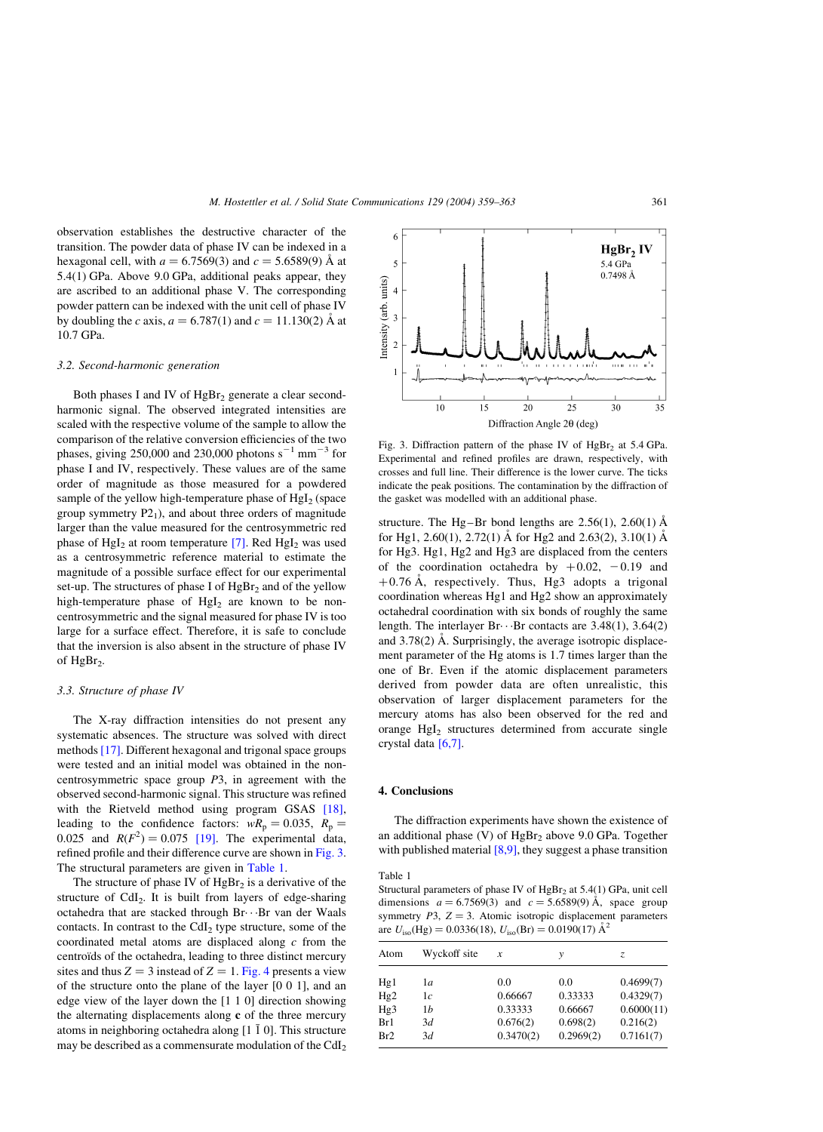observation establishes the destructive character of the transition. The powder data of phase IV can be indexed in a hexagonal cell, with  $a = 6.7569(3)$  and  $c = 5.6589(9)$  Å at 5.4(1) GPa. Above 9.0 GPa, additional peaks appear, they are ascribed to an additional phase V. The corresponding powder pattern can be indexed with the unit cell of phase IV by doubling the c axis,  $a = 6.787(1)$  and  $c = 11.130(2)$  Å at 10.7 GPa.

#### 3.2. Second-harmonic generation

Both phases I and IV of  $HgBr<sub>2</sub>$  generate a clear secondharmonic signal. The observed integrated intensities are scaled with the respective volume of the sample to allow the comparison of the relative conversion efficiencies of the two phases, giving 250,000 and 230,000 photons  $s^{-1}$  mm<sup>-3</sup> for phase I and IV, respectively. These values are of the same order of magnitude as those measured for a powdered sample of the yellow high-temperature phase of  $HgI<sub>2</sub>$  (space group symmetry  $P2<sub>1</sub>$ ), and about three orders of magnitude larger than the value measured for the centrosymmetric red phase of HgI<sub>2</sub> at room temperature  $[7]$ . Red HgI<sub>2</sub> was used as a centrosymmetric reference material to estimate the magnitude of a possible surface effect for our experimental set-up. The structures of phase I of  $HgBr<sub>2</sub>$  and of the yellow high-temperature phase of  $Hgl<sub>2</sub>$  are known to be noncentrosymmetric and the signal measured for phase IV is too large for a surface effect. Therefore, it is safe to conclude that the inversion is also absent in the structure of phase IV of HgBr<sub>2</sub>.

## 3.3. Structure of phase IV

The X-ray diffraction intensities do not present any systematic absences. The structure was solved with direct methods [\[17\].](#page-4-0) Different hexagonal and trigonal space groups were tested and an initial model was obtained in the noncentrosymmetric space group  $P3$ , in agreement with the observed second-harmonic signal. This structure was refined with the Rietveld method using program GSAS [\[18\]](#page-4-0), leading to the confidence factors:  $wR_p = 0.035$ ,  $R_p =$ 0.025 and  $R(F^2) = 0.075$  [\[19\]](#page-4-0). The experimental data, refined profile and their difference curve are shown in Fig. 3. The structural parameters are given in Table 1.

The structure of phase IV of  $HgBr<sub>2</sub>$  is a derivative of the structure of  $CdI<sub>2</sub>$ . It is built from layers of edge-sharing octahedra that are stacked through Br· · ·Br van der Waals contacts. In contrast to the CdI<sub>2</sub> type structure, some of the coordinated metal atoms are displaced along  $c$  from the centroïds of the octahedra, leading to three distinct mercury sites and thus  $Z = 3$  instead of  $Z = 1$ . [Fig. 4](#page-3-0) presents a view of the structure onto the plane of the layer [0 0 1], and an edge view of the layer down the [1 1 0] direction showing the alternating displacements along c of the three mercury atoms in neighboring octahedra along  $[1 \overline{1} 0]$ . This structure may be described as a commensurate modulation of the  $CdI<sub>2</sub>$ 



Fig. 3. Diffraction pattern of the phase IV of  $HgBr<sub>2</sub>$  at 5.4 GPa. Experimental and refined profiles are drawn, respectively, with crosses and full line. Their difference is the lower curve. The ticks indicate the peak positions. The contamination by the diffraction of the gasket was modelled with an additional phase.

structure. The Hg–Br bond lengths are  $2.56(1)$ ,  $2.60(1)$  Å for Hg1, 2.60(1), 2.72(1) Å for Hg2 and 2.63(2), 3.10(1) Å for Hg3. Hg1, Hg2 and Hg3 are displaced from the centers of the coordination octahedra by  $+0.02$ ,  $-0.19$  and  $+0.76$  Å, respectively. Thus, Hg3 adopts a trigonal coordination whereas Hg1 and Hg2 show an approximately octahedral coordination with six bonds of roughly the same length. The interlayer  $Br \cdots Br$  contacts are 3.48(1), 3.64(2) and  $3.78(2)$  Å. Surprisingly, the average isotropic displacement parameter of the Hg atoms is 1.7 times larger than the one of Br. Even if the atomic displacement parameters derived from powder data are often unrealistic, this observation of larger displacement parameters for the mercury atoms has also been observed for the red and orange  $HgI<sub>2</sub>$  structures determined from accurate single crystal data [\[6,7\]](#page-3-0).

#### 4. Conclusions

The diffraction experiments have shown the existence of an additional phase (V) of  $HgBr<sub>2</sub>$  above 9.0 GPa. Together with published material  $[8,9]$ , they suggest a phase transition

#### Table 1

Structural parameters of phase IV of  $HgBr<sub>2</sub>$  at 5.4(1) GPa, unit cell dimensions  $a = 6.7569(3)$  and  $c = 5.6589(9)$  Å, space group symmetry  $P3$ ,  $Z = 3$ . Atomic isotropic displacement parameters are  $U_{\text{iso}}(\text{Hg}) = 0.0336(18), U_{\text{iso}}(\text{Br}) = 0.0190(17) \text{ Å}^2$ 

| Atom            | Wyckoff site | x         | ν         | Z.         |
|-----------------|--------------|-----------|-----------|------------|
| Hg1             | 1a           | 0.0       | 0.0       | 0.4699(7)  |
|                 |              |           |           |            |
| Hg <sub>2</sub> | 1с           | 0.66667   | 0.33333   | 0.4329(7)  |
| Hg3             | 1b           | 0.33333   | 0.66667   | 0.6000(11) |
| Br1             | 3d           | 0.676(2)  | 0.698(2)  | 0.216(2)   |
| Br2             | 3d           | 0.3470(2) | 0.2969(2) | 0.7161(7)  |
|                 |              |           |           |            |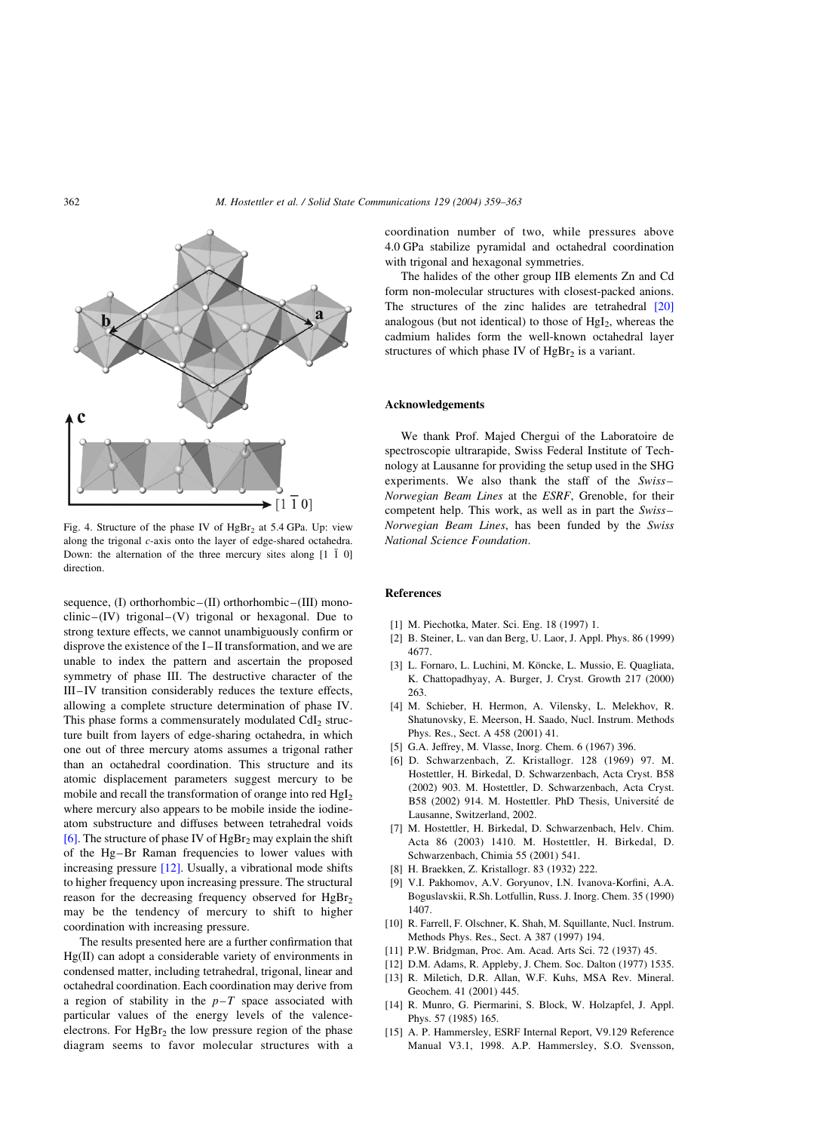<span id="page-3-0"></span>

Fig. 4. Structure of the phase IV of  $HgBr<sub>2</sub>$  at 5.4 GPa. Up: view along the trigonal c-axis onto the layer of edge-shared octahedra. Down: the alternation of the three mercury sites along  $[1 \ \overline{1} \ 0]$ direction.

sequence, (I) orthorhombic–(II) orthorhombic–(III) monoclinic–(IV) trigonal–(V) trigonal or hexagonal. Due to strong texture effects, we cannot unambiguously confirm or disprove the existence of the I–II transformation, and we are unable to index the pattern and ascertain the proposed symmetry of phase III. The destructive character of the III–IV transition considerably reduces the texture effects, allowing a complete structure determination of phase IV. This phase forms a commensurately modulated  $CdI<sub>2</sub>$  structure built from layers of edge-sharing octahedra, in which one out of three mercury atoms assumes a trigonal rather than an octahedral coordination. This structure and its atomic displacement parameters suggest mercury to be mobile and recall the transformation of orange into red HgI<sub>2</sub> where mercury also appears to be mobile inside the iodineatom substructure and diffuses between tetrahedral voids [6]. The structure of phase IV of  $HgBr<sub>2</sub>$  may explain the shift of the Hg–Br Raman frequencies to lower values with increasing pressure [12]. Usually, a vibrational mode shifts to higher frequency upon increasing pressure. The structural reason for the decreasing frequency observed for  $HgBr<sub>2</sub>$ may be the tendency of mercury to shift to higher coordination with increasing pressure.

The results presented here are a further confirmation that Hg(II) can adopt a considerable variety of environments in condensed matter, including tetrahedral, trigonal, linear and octahedral coordination. Each coordination may derive from a region of stability in the  $p-T$  space associated with particular values of the energy levels of the valenceelectrons. For  $HgBr<sub>2</sub>$  the low pressure region of the phase diagram seems to favor molecular structures with a

coordination number of two, while pressures above 4.0 GPa stabilize pyramidal and octahedral coordination with trigonal and hexagonal symmetries.

The halides of the other group IIB elements Zn and Cd form non-molecular structures with closest-packed anions. The structures of the zinc halides are tetrahedral [\[20\]](#page-4-0) analogous (but not identical) to those of  $HgI<sub>2</sub>$ , whereas the cadmium halides form the well-known octahedral layer structures of which phase IV of  $HgBr<sub>2</sub>$  is a variant.

## Acknowledgements

We thank Prof. Majed Chergui of the Laboratoire de spectroscopie ultrarapide, Swiss Federal Institute of Technology at Lausanne for providing the setup used in the SHG experiments. We also thank the staff of the Swiss– Norwegian Beam Lines at the ESRF, Grenoble, for their competent help. This work, as well as in part the Swiss– Norwegian Beam Lines, has been funded by the Swiss National Science Foundation.

## References

- [1] M. Piechotka, Mater. Sci. Eng. 18 (1997) 1.
- [2] B. Steiner, L. van dan Berg, U. Laor, J. Appl. Phys. 86 (1999) 4677.
- [3] L. Fornaro, L. Luchini, M. Köncke, L. Mussio, E. Quagliata, K. Chattopadhyay, A. Burger, J. Cryst. Growth 217 (2000) 263.
- [4] M. Schieber, H. Hermon, A. Vilensky, L. Melekhov, R. Shatunovsky, E. Meerson, H. Saado, Nucl. Instrum. Methods Phys. Res., Sect. A 458 (2001) 41.
- [5] G.A. Jeffrey, M. Vlasse, Inorg. Chem. 6 (1967) 396.
- [6] D. Schwarzenbach, Z. Kristallogr. 128 (1969) 97. M. Hostettler, H. Birkedal, D. Schwarzenbach, Acta Cryst. B58 (2002) 903. M. Hostettler, D. Schwarzenbach, Acta Cryst. B58 (2002) 914. M. Hostettler. PhD Thesis, Université de Lausanne, Switzerland, 2002.
- [7] M. Hostettler, H. Birkedal, D. Schwarzenbach, Helv. Chim. Acta 86 (2003) 1410. M. Hostettler, H. Birkedal, D. Schwarzenbach, Chimia 55 (2001) 541.
- [8] H. Braekken, Z. Kristallogr. 83 (1932) 222.
- [9] V.I. Pakhomov, A.V. Goryunov, I.N. Ivanova-Korfini, A.A. Boguslavskii, R.Sh. Lotfullin, Russ. J. Inorg. Chem. 35 (1990) 1407.
- [10] R. Farrell, F. Olschner, K. Shah, M. Squillante, Nucl. Instrum. Methods Phys. Res., Sect. A 387 (1997) 194.
- [11] P.W. Bridgman, Proc. Am. Acad. Arts Sci. 72 (1937) 45.
- [12] D.M. Adams, R. Appleby, J. Chem. Soc. Dalton (1977) 1535.
- [13] R. Miletich, D.R. Allan, W.F. Kuhs, MSA Rev. Mineral. Geochem. 41 (2001) 445.
- [14] R. Munro, G. Piermarini, S. Block, W. Holzapfel, J. Appl. Phys. 57 (1985) 165.
- [15] A. P. Hammersley, ESRF Internal Report, V9.129 Reference Manual V3.1, 1998. A.P. Hammersley, S.O. Svensson,